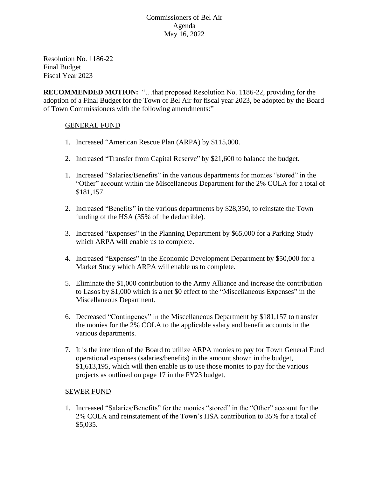Resolution No. 1186-22 Final Budget Fiscal Year 2023

**RECOMMENDED MOTION:** "…that proposed Resolution No. 1186-22, providing for the adoption of a Final Budget for the Town of Bel Air for fiscal year 2023, be adopted by the Board of Town Commissioners with the following amendments:"

# GENERAL FUND

- 1. Increased "American Rescue Plan (ARPA) by \$115,000.
- 2. Increased "Transfer from Capital Reserve" by \$21,600 to balance the budget.
- 1. Increased "Salaries/Benefits" in the various departments for monies "stored" in the "Other" account within the Miscellaneous Department for the 2% COLA for a total of \$181,157.
- 2. Increased "Benefits" in the various departments by \$28,350, to reinstate the Town funding of the HSA (35% of the deductible).
- 3. Increased "Expenses" in the Planning Department by \$65,000 for a Parking Study which ARPA will enable us to complete.
- 4. Increased "Expenses" in the Economic Development Department by \$50,000 for a Market Study which ARPA will enable us to complete.
- 5. Eliminate the \$1,000 contribution to the Army Alliance and increase the contribution to Lasos by \$1,000 which is a net \$0 effect to the "Miscellaneous Expenses" in the Miscellaneous Department.
- 6. Decreased "Contingency" in the Miscellaneous Department by \$181,157 to transfer the monies for the 2% COLA to the applicable salary and benefit accounts in the various departments.
- 7. It is the intention of the Board to utilize ARPA monies to pay for Town General Fund operational expenses (salaries/benefits) in the amount shown in the budget, \$1,613,195, which will then enable us to use those monies to pay for the various projects as outlined on page 17 in the FY23 budget.

## SEWER FUND

1. Increased "Salaries/Benefits" for the monies "stored" in the "Other" account for the 2% COLA and reinstatement of the Town's HSA contribution to 35% for a total of \$5,035.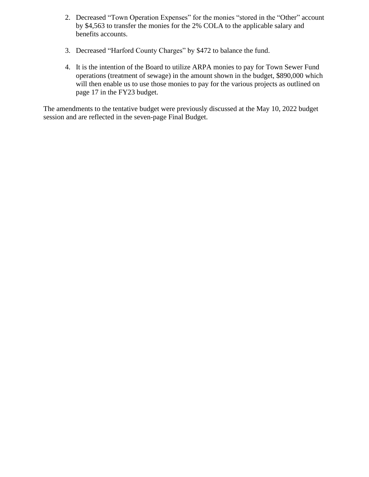- 2. Decreased "Town Operation Expenses" for the monies "stored in the "Other" account by \$4,563 to transfer the monies for the 2% COLA to the applicable salary and benefits accounts.
- 3. Decreased "Harford County Charges" by \$472 to balance the fund.
- 4. It is the intention of the Board to utilize ARPA monies to pay for Town Sewer Fund operations (treatment of sewage) in the amount shown in the budget, \$890,000 which will then enable us to use those monies to pay for the various projects as outlined on page 17 in the FY23 budget.

The amendments to the tentative budget were previously discussed at the May 10, 2022 budget session and are reflected in the seven-page Final Budget.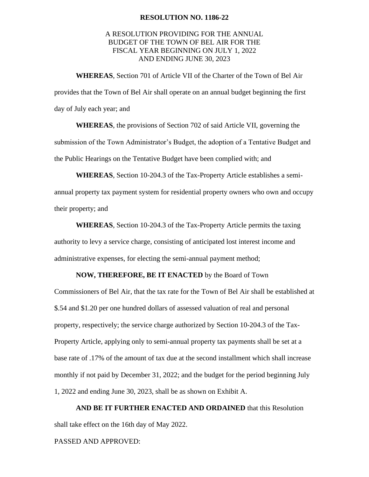#### **RESOLUTION NO. 1186-22**

### A RESOLUTION PROVIDING FOR THE ANNUAL BUDGET OF THE TOWN OF BEL AIR FOR THE FISCAL YEAR BEGINNING ON JULY 1, 2022 AND ENDING JUNE 30, 2023

**WHEREAS**, Section 701 of Article VII of the Charter of the Town of Bel Air provides that the Town of Bel Air shall operate on an annual budget beginning the first day of July each year; and

**WHEREAS**, the provisions of Section 702 of said Article VII, governing the submission of the Town Administrator's Budget, the adoption of a Tentative Budget and the Public Hearings on the Tentative Budget have been complied with; and

**WHEREAS**, Section 10-204.3 of the Tax-Property Article establishes a semiannual property tax payment system for residential property owners who own and occupy their property; and

**WHEREAS**, Section 10-204.3 of the Tax-Property Article permits the taxing authority to levy a service charge, consisting of anticipated lost interest income and administrative expenses, for electing the semi-annual payment method;

### **NOW, THEREFORE, BE IT ENACTED** by the Board of Town

Commissioners of Bel Air, that the tax rate for the Town of Bel Air shall be established at \$.54 and \$1.20 per one hundred dollars of assessed valuation of real and personal property, respectively; the service charge authorized by Section 10-204.3 of the Tax-Property Article, applying only to semi-annual property tax payments shall be set at a base rate of .17% of the amount of tax due at the second installment which shall increase monthly if not paid by December 31, 2022; and the budget for the period beginning July 1, 2022 and ending June 30, 2023, shall be as shown on Exhibit A.

**AND BE IT FURTHER ENACTED AND ORDAINED** that this Resolution shall take effect on the 16th day of May 2022.

PASSED AND APPROVED: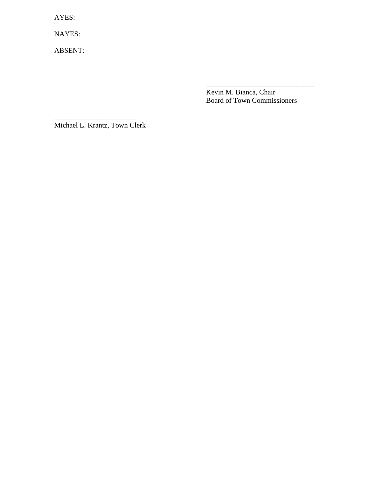AYES:

NAYES:

ABSENT:

\_\_\_\_\_\_\_\_\_\_\_\_\_\_\_\_\_\_\_\_\_\_\_\_\_\_\_\_\_\_ Kevin M. Bianca, Chair Board of Town Commissioners

Michael L. Krantz, Town Clerk

\_\_\_\_\_\_\_\_\_\_\_\_\_\_\_\_\_\_\_\_\_\_\_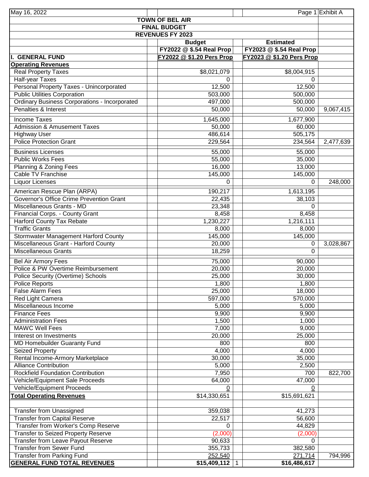| May 16, 2022                                         |                           |                           | Page 1 Exhibit A |
|------------------------------------------------------|---------------------------|---------------------------|------------------|
|                                                      | <b>TOWN OF BEL AIR</b>    |                           |                  |
| <b>FINAL BUDGET</b>                                  |                           |                           |                  |
| <b>REVENUES FY 2023</b>                              |                           |                           |                  |
|                                                      | <b>Budget</b>             | <b>Estimated</b>          |                  |
|                                                      | FY2022 @ \$.54 Real Prop  | FY2023 @ \$.54 Real Prop  |                  |
| <b>GENERAL FUND</b>                                  | FY2022 @ \$1.20 Pers Prop | FY2023 @ \$1.20 Pers Prop |                  |
| <b>Operating Revenues</b>                            |                           |                           |                  |
| <b>Real Property Taxes</b>                           | \$8,021,079               | \$8,004,915               |                  |
| Half-year Taxes                                      | 0                         | 0                         |                  |
| Personal Property Taxes - Unincorporated             | 12,500                    | 12,500                    |                  |
| <b>Public Utilities Corporation</b>                  | 503,000                   | 500,000                   |                  |
| <b>Ordinary Business Corporations - Incorporated</b> | 497,000                   | 500,000                   |                  |
| Penalties & Interest                                 | 50,000                    | 50,000                    | 9,067,415        |
| <b>Income Taxes</b>                                  | 1,645,000                 | 1,677,900                 |                  |
| <b>Admission &amp; Amusement Taxes</b>               | 50,000                    | 60,000                    |                  |
| <b>Highway User</b>                                  | 486,614                   | 505,175                   |                  |
| <b>Police Protection Grant</b>                       | 229,564                   | 234,564                   | 2,477,639        |
|                                                      |                           |                           |                  |
| <b>Business Licenses</b>                             | 55,000                    | 55,000                    |                  |
| <b>Public Works Fees</b>                             | 55,000                    | 35,000                    |                  |
| Planning & Zoning Fees                               | 16,000                    | 13,000                    |                  |
| Cable TV Franchise                                   | 145,000                   | 145,000                   |                  |
| <b>Liquor Licenses</b>                               | 0                         | 0                         | 248,000          |
| American Rescue Plan (ARPA)                          | 190,217                   | 1,613,195                 |                  |
| Governor's Office Crime Prevention Grant             | 22,435                    | 38,103                    |                  |
| Miscellaneous Grants - MD                            | 23,348                    | 0                         |                  |
| Financial Corps. - County Grant                      | 8,458                     | 8,458                     |                  |
| <b>Harford County Tax Rebate</b>                     | 1,230,227                 | 1,216,111                 |                  |
| <b>Traffic Grants</b>                                | 8,000                     | 8,000                     |                  |
| <b>Stormwater Management Harford County</b>          | 145,000                   | 145,000                   |                  |
| Miscellaneous Grant - Harford County                 | 20,000                    | 0                         | 3,028,867        |
| <b>Miscellaneous Grants</b>                          | 18,259                    | $\Omega$                  |                  |
| <b>Bel Air Armory Fees</b>                           | 75,000                    | 90,000                    |                  |
| Police & PW Overtime Reimbursement                   | 20,000                    | 20,000                    |                  |
| Police Security (Overtime) Schools                   | 25,000                    | 30,000                    |                  |
| Police Reports                                       | 1,800                     | 1,800                     |                  |
| <b>False Alarm Fees</b>                              | 25,000                    | 18,000                    |                  |
| Red Light Camera                                     | 597,000                   | 570,000                   |                  |
| Miscellaneous Income                                 | 5,000                     | 5,000                     |                  |
| <b>Finance Fees</b>                                  | 9,900                     | 9,900                     |                  |
| <b>Administration Fees</b>                           | 1,500                     | 1,000                     |                  |
| <b>MAWC Well Fees</b>                                | 7,000                     | 9,000                     |                  |
| Interest on Investments                              | 20,000                    | 25,000                    |                  |
| MD Homebuilder Guaranty Fund                         | 800                       | 800                       |                  |
| <b>Seized Property</b>                               | 4,000                     | 4,000                     |                  |
| Rental Income-Armory Marketplace                     | 30,000                    | 35,000                    |                  |
| <b>Alliance Contribution</b>                         | 5,000                     | 2,500                     |                  |
| <b>Rockfield Foundation Contribution</b>             | 7,950                     | 700                       | 822,700          |
| Vehicle/Equipment Sale Proceeds                      | 64,000                    | 47,000                    |                  |
| Vehicle/Equipment Proceeds                           | 0                         | 0                         |                  |
| <b>Total Operating Revenues</b>                      | \$14,330,651              | \$15,691,621              |                  |
|                                                      |                           |                           |                  |
| <b>Transfer from Unassigned</b>                      | 359,038                   | 41,273                    |                  |
| <b>Transfer from Capital Reserve</b>                 | 22,517                    | 56,600                    |                  |
| Transfer from Worker's Comp Reserve                  | 0                         | 44,829                    |                  |
| <b>Transfer to Seized Property Reserve</b>           | (2,000)                   | (2,000)                   |                  |
| <b>Transfer from Leave Payout Reserve</b>            | 90,633                    | 0                         |                  |
| <b>Transfer from Sewer Fund</b>                      | 355,733                   | 382,580                   |                  |
| <b>Transfer from Parking Fund</b>                    | 252,540                   | 271,714                   | 794,996          |
| <u>GENERAL FUND TOTAL REVENUES</u>                   | $$15,409,112$ 1           | \$16,486,617              |                  |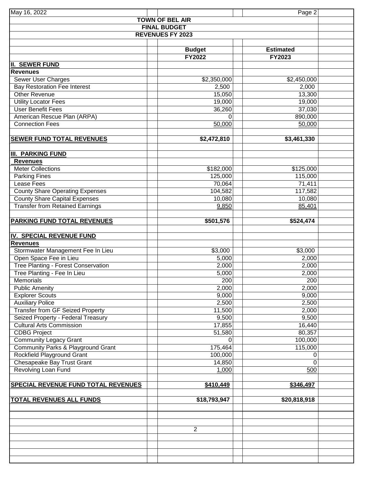| May 16, 2022                               |                         | Page 2           |
|--------------------------------------------|-------------------------|------------------|
|                                            | <b>TOWN OF BEL AIR</b>  |                  |
|                                            | <b>FINAL BUDGET</b>     |                  |
|                                            | <b>REVENUES FY 2023</b> |                  |
|                                            |                         |                  |
|                                            | <b>Budget</b>           | <b>Estimated</b> |
|                                            | <b>FY2022</b>           | <b>FY2023</b>    |
| <b>II. SEWER FUND</b>                      |                         |                  |
| <b>Revenues</b>                            |                         |                  |
| <b>Sewer User Charges</b>                  | \$2,350,000             | \$2,450,000      |
| <b>Bay Restoration Fee Interest</b>        | 2,500                   | 2,000            |
| <b>Other Revenue</b>                       | 15,050                  | 13,300           |
| <b>Utility Locator Fees</b>                | 19,000                  | 19,000           |
| <b>User Benefit Fees</b>                   | 36,260                  | 37,030           |
| American Rescue Plan (ARPA)                | 0                       | 890,000          |
| <b>Connection Fees</b>                     | 50,000                  | 50,000           |
|                                            |                         |                  |
| <b>SEWER FUND TOTAL REVENUES</b>           | \$2,472,810             | \$3,461,330      |
|                                            |                         |                  |
| <b>III. PARKING FUND</b>                   |                         |                  |
| <b>Revenues</b>                            |                         |                  |
| Meter Collections                          | \$182,000               | \$125,000        |
| <b>Parking Fines</b>                       | 125,000                 | 115,000          |
| Lease Fees                                 | 70,064                  | 71,411           |
| County Share Operating Expenses            | 104,582                 | 117,582          |
| <b>County Share Capital Expenses</b>       | 10,080                  | 10,080           |
| <b>Transfer from Retained Earnings</b>     | 9,850                   | 85,401           |
|                                            |                         |                  |
| PARKING FUND TOTAL REVENUES                | \$501,576               | \$524,474        |
|                                            |                         |                  |
| IV. SPECIAL REVENUE FUND                   |                         |                  |
| <b>Revenues</b>                            |                         |                  |
| Stormwater Management Fee In Lieu          | \$3,000                 | \$3,000          |
| Open Space Fee in Lieu                     | 5,000                   | 2,000            |
| Tree Planting - Forest Conservation        | 2,000                   | 2,000            |
| Tree Planting - Fee In Lieu                | 5,000                   | 2,000            |
| Memorials                                  | 200                     | 200              |
| <b>Public Amenity</b>                      | 2,000                   | 2,000            |
| <b>Explorer Scouts</b>                     | 9,000                   | 9,000            |
| <b>Auxiliary Police</b>                    | 2,500                   | 2,500            |
| <b>Transfer from GF Seized Property</b>    | 11,500                  | 2,000            |
| Seized Property - Federal Treasury         | 9,500                   | 9,500            |
| <b>Cultural Arts Commission</b>            | 17,855                  | 16,440           |
| <b>CDBG Project</b>                        | 51,580                  | 80,357           |
| <b>Community Legacy Grant</b>              | $\Omega$                | 100,000          |
| Community Parks & Playground Grant         | 175,464                 | 115,000          |
| Rockfield Playground Grant                 | 100,000                 | 0                |
| <b>Chesapeake Bay Trust Grant</b>          | 14,850                  | $\mathbf 0$      |
| Revolving Loan Fund                        | 1,000                   | 500              |
|                                            |                         |                  |
| <b>SPECIAL REVENUE FUND TOTAL REVENUES</b> | \$410,449               | \$346,497        |
|                                            |                         |                  |
| <b>TOTAL REVENUES ALL FUNDS</b>            | \$18,793,947            | \$20,818,918     |
|                                            |                         |                  |
|                                            |                         |                  |
|                                            |                         |                  |
|                                            | $\overline{2}$          |                  |
|                                            |                         |                  |
|                                            |                         |                  |
|                                            |                         |                  |
|                                            |                         |                  |
|                                            |                         |                  |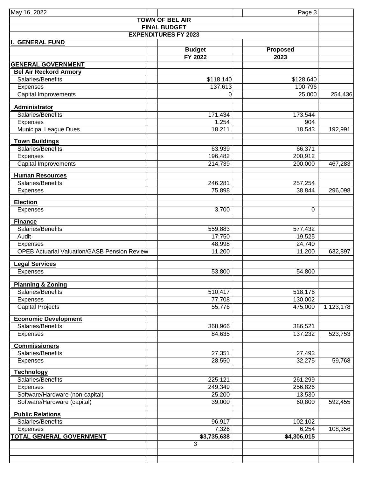| May 16, 2022                                        |                        | Page 3               |           |  |
|-----------------------------------------------------|------------------------|----------------------|-----------|--|
|                                                     | <b>TOWN OF BEL AIR</b> |                      |           |  |
| <b>FINAL BUDGET</b>                                 |                        |                      |           |  |
| <b>EXPENDITURES FY 2023</b>                         |                        |                      |           |  |
| <b>GENERAL FUND</b>                                 |                        |                      |           |  |
|                                                     | <b>Budget</b>          | <b>Proposed</b>      |           |  |
|                                                     | <b>FY 2022</b>         | 2023                 |           |  |
| <b>GENERAL GOVERNMENT</b>                           |                        |                      |           |  |
| <b>Bel Air Reckord Armory</b>                       |                        |                      |           |  |
| Salaries/Benefits                                   | \$118,140              | \$128,640            |           |  |
| Expenses                                            | 137,613                | 100,796              |           |  |
| <b>Capital Improvements</b>                         | 0                      | 25,000               | 254,436   |  |
| <b>Administrator</b>                                |                        |                      |           |  |
| Salaries/Benefits                                   | 171,434                | 173,544              |           |  |
| Expenses                                            | 1,254                  | 904                  |           |  |
| <b>Municipal League Dues</b>                        | 18,211                 | 18,543               | 192,991   |  |
|                                                     |                        |                      |           |  |
| <b>Town Buildings</b><br>Salaries/Benefits          |                        |                      |           |  |
|                                                     | 63,939<br>196,482      | 66,371<br>200,912    |           |  |
| Expenses<br><b>Capital Improvements</b>             | 214,739                | 200,000              | 467,283   |  |
|                                                     |                        |                      |           |  |
| <b>Human Resources</b>                              |                        |                      |           |  |
| Salaries/Benefits                                   | 246,281                | 257,254              |           |  |
| Expenses                                            | 75,898                 | 38,844               | 296,098   |  |
| <b>Election</b>                                     |                        |                      |           |  |
| Expenses                                            | 3,700                  | $\Omega$             |           |  |
|                                                     |                        |                      |           |  |
| <b>Finance</b>                                      |                        |                      |           |  |
| Salaries/Benefits                                   | 559,883                | 577,432              |           |  |
| Audit                                               | 17,750                 | 19,525               |           |  |
| Expenses                                            | 48,998                 | 24,740               |           |  |
| <b>OPEB Actuarial Valuation/GASB Pension Review</b> | 11,200                 | 11,200               | 632,897   |  |
| egal Services                                       |                        |                      |           |  |
| Expenses                                            | 53,800                 | 54,800               |           |  |
|                                                     |                        |                      |           |  |
| <b>Planning &amp; Zoning</b>                        |                        |                      |           |  |
| Salaries/Benefits                                   | 510,417                | 518,176              |           |  |
| Expenses                                            | 77,708                 | 130,002              |           |  |
| <b>Capital Projects</b>                             | 55,776                 | 475,000              | 1,123,178 |  |
| <b>Economic Development</b>                         |                        |                      |           |  |
| Salaries/Benefits                                   | 368,966                | 386,521              |           |  |
| <b>Expenses</b>                                     | 84,635                 | 137,232              | 523,753   |  |
|                                                     |                        |                      |           |  |
| <b>Commissioners</b>                                |                        |                      |           |  |
| Salaries/Benefits                                   | 27,351                 | 27,493               |           |  |
| Expenses                                            | 28,550                 | 32,275               | 59,768    |  |
| <b>Technology</b>                                   |                        |                      |           |  |
| Salaries/Benefits                                   | 225,121                | 261,299              |           |  |
| Expenses                                            | 249,349                | 256,826              |           |  |
| Software/Hardware (non-capital)                     | 25,200                 | 13,530               |           |  |
| Software/Hardware (capital)                         | 39,000                 | 60,800               | 592,455   |  |
|                                                     |                        |                      |           |  |
| <b>Public Relations</b>                             |                        |                      |           |  |
| Salaries/Benefits                                   | 96,917                 | 102,102              |           |  |
| <b>Expenses</b><br><b>TOTAL GENERAL GOVERNMENT</b>  | 7,326<br>\$3,735,638   | 6,254<br>\$4,306,015 | 108,356   |  |
|                                                     | $\overline{3}$         |                      |           |  |
|                                                     |                        |                      |           |  |
|                                                     |                        |                      |           |  |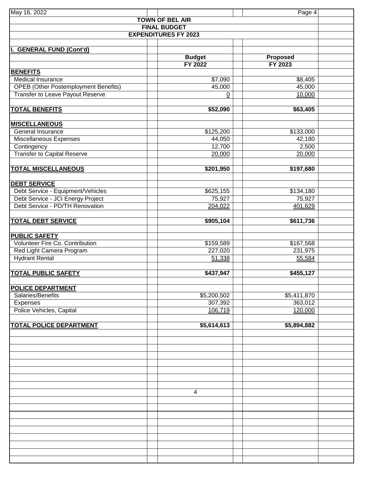| May 16, 2022                                            |                             | Page 4               |  |
|---------------------------------------------------------|-----------------------------|----------------------|--|
|                                                         | <b>TOWN OF BEL AIR</b>      |                      |  |
|                                                         | <b>FINAL BUDGET</b>         |                      |  |
|                                                         | <b>EXPENDITURES FY 2023</b> |                      |  |
|                                                         |                             |                      |  |
| <b>GENERAL FUND (Cont'd)</b>                            |                             |                      |  |
|                                                         | <b>Budget</b>               | Proposed             |  |
|                                                         | <b>FY 2022</b>              | <b>FY 2023</b>       |  |
| <b>BENEFITS</b>                                         |                             |                      |  |
| Medical Insurance                                       | \$7,090                     | \$8,405              |  |
| <b>OPEB</b> (Other Postemployment Benefits)             | 45,000                      | 45,000               |  |
| Transfer to Leave Payout Reserve                        | $\underline{0}$             | 10,000               |  |
| <b>TOTAL BENEFITS</b>                                   | \$52,090                    | \$63,405             |  |
|                                                         |                             |                      |  |
| <b>MISCELLANEOUS</b>                                    |                             |                      |  |
| General Insurance                                       | \$125,200                   | \$133,000            |  |
| Miscellaneous Expenses                                  | 44,050                      | 42,180               |  |
| Contingency                                             | 12,700                      | 2,500                |  |
| <b>Transfer to Capital Reserve</b>                      | 20,000                      | 20,000               |  |
|                                                         |                             |                      |  |
| <b>TOTAL MISCELLANEOUS</b>                              | \$201,950                   | \$197,680            |  |
|                                                         |                             |                      |  |
| <b>DEBT SERVICE</b>                                     |                             |                      |  |
| Debt Service - Equipment/Vehicles                       | \$625,155                   | \$134,180            |  |
| Debt Service - JCI Energy Project                       | 75,927                      | 75,927               |  |
| Debt Service - PD/TH Renovation                         | 204,022                     | 401,629              |  |
|                                                         |                             |                      |  |
| <b>TOTAL DEBT SERVICE</b>                               | \$905,104                   | \$611,736            |  |
|                                                         |                             |                      |  |
| <b>PUBLIC SAFETY</b><br>Volunteer Fire Co. Contribution |                             |                      |  |
| Red Light Camera Program                                | \$159,589<br>227,020        | \$167,568<br>231,975 |  |
| <b>Hydrant Rental</b>                                   | 51,338                      | 55,584               |  |
|                                                         |                             |                      |  |
| <b>TOTAL PUBLIC SAFETY</b>                              | $\overline{$437,947}$       | \$455,127            |  |
|                                                         |                             |                      |  |
| <b>POLICE DEPARTMENT</b>                                |                             |                      |  |
| Salaries/Benefits                                       | \$5,200,502                 | \$5,411,870          |  |
| Expenses                                                | 307,392                     | 363,012              |  |
| Police Vehicles, Capital                                | 106,719                     | 120,000              |  |
|                                                         |                             |                      |  |
| <b>TOTAL POLICE DEPARTMENT</b>                          | \$5,614,613                 | \$5,894,882          |  |
|                                                         |                             |                      |  |
|                                                         |                             |                      |  |
|                                                         |                             |                      |  |
|                                                         |                             |                      |  |
|                                                         |                             |                      |  |
|                                                         |                             |                      |  |
|                                                         |                             |                      |  |
|                                                         | 4                           |                      |  |
|                                                         |                             |                      |  |
|                                                         |                             |                      |  |
|                                                         |                             |                      |  |
|                                                         |                             |                      |  |
|                                                         |                             |                      |  |
|                                                         |                             |                      |  |
|                                                         |                             |                      |  |
|                                                         |                             |                      |  |
|                                                         |                             |                      |  |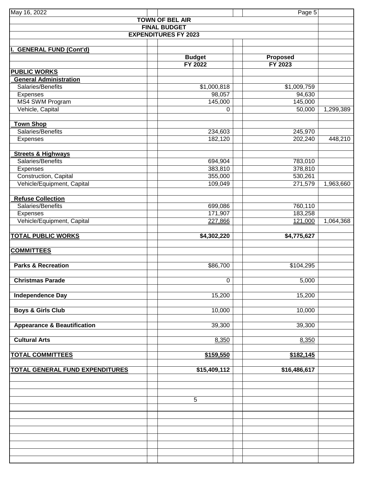| May 16, 2022                           |                             | Page 5                            |           |
|----------------------------------------|-----------------------------|-----------------------------------|-----------|
|                                        | <b>TOWN OF BEL AIR</b>      |                                   |           |
|                                        | <b>FINAL BUDGET</b>         |                                   |           |
|                                        | <b>EXPENDITURES FY 2023</b> |                                   |           |
| <b>GENERAL FUND (Cont'd)</b>           |                             |                                   |           |
|                                        | <b>Budget</b><br>FY 2022    | <b>Proposed</b><br><b>FY 2023</b> |           |
| <b>PUBLIC WORKS</b>                    |                             |                                   |           |
| <b>General Administration</b>          |                             |                                   |           |
| Salaries/Benefits                      | \$1,000,818                 | \$1,009,759                       |           |
| Expenses                               | 98,057                      | 94,630                            |           |
| MS4 SWM Program<br>Vehicle, Capital    | 145,000<br>0                | 145,000<br>50,000                 | 1,299,389 |
|                                        |                             |                                   |           |
| <b>Town Shop</b>                       |                             |                                   |           |
| Salaries/Benefits                      | 234,603                     | 245,970                           |           |
| Expenses                               | 182,120                     | 202,240                           | 448,210   |
| <b>Streets &amp; Highways</b>          |                             |                                   |           |
| Salaries/Benefits                      | 694,904                     | 783,010                           |           |
| Expenses                               | 383,810                     | 378,810                           |           |
| Construction, Capital                  | 355,000                     | 530,261                           |           |
| Vehicle/Equipment, Capital             | 109,049                     | 271,579                           | 1,963,660 |
| <b>Refuse Collection</b>               |                             |                                   |           |
| Salaries/Benefits                      | 699,086                     | 760,110                           |           |
| Expenses                               | 171,907                     | 183,258                           |           |
| Vehicle/Equipment, Capital             | 227,866                     | 121,000                           | 1,064,368 |
| <b>TOTAL PUBLIC WORKS</b>              | \$4,302,220                 | \$4,775,627                       |           |
|                                        |                             |                                   |           |
| <b>COMMITTEES</b>                      |                             |                                   |           |
| <b>Parks &amp; Recreation</b>          | \$86,700                    | $\overline{$104,295}$             |           |
|                                        |                             |                                   |           |
| <b>Christmas Parade</b>                | 0                           | 5,000                             |           |
| <b>Independence Day</b>                | 15,200                      | 15,200                            |           |
| <b>Boys &amp; Girls Club</b>           | 10,000                      | 10,000                            |           |
| <b>Appearance &amp; Beautification</b> | 39,300                      | 39,300                            |           |
| <b>Cultural Arts</b>                   | 8,350                       | 8,350                             |           |
| <b>TOTAL COMMITTEES</b>                | \$159,550                   | \$182,145                         |           |
| TOTAL GENERAL FUND EXPENDITURES        | $\overline{$15,409,112}$    | \$16,486,617                      |           |
|                                        |                             |                                   |           |
|                                        |                             |                                   |           |
|                                        | 5                           |                                   |           |
|                                        |                             |                                   |           |
|                                        |                             |                                   |           |
|                                        |                             |                                   |           |
|                                        |                             |                                   |           |
|                                        |                             |                                   |           |
|                                        |                             |                                   |           |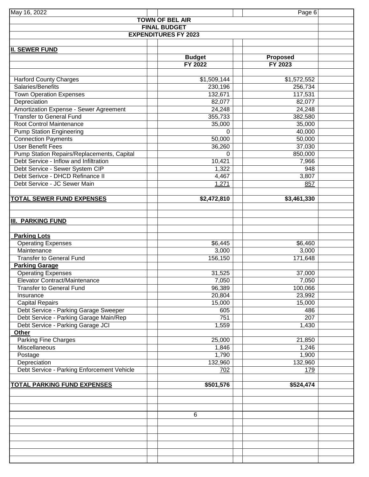| May 16, 2022                                   |                             | Page 6            |  |  |  |
|------------------------------------------------|-----------------------------|-------------------|--|--|--|
|                                                | <b>TOWN OF BEL AIR</b>      |                   |  |  |  |
| <b>FINAL BUDGET</b>                            |                             |                   |  |  |  |
|                                                | <b>EXPENDITURES FY 2023</b> |                   |  |  |  |
|                                                |                             |                   |  |  |  |
| <b>II. SEWER FUND</b>                          |                             |                   |  |  |  |
|                                                | <b>Budget</b>               | Proposed          |  |  |  |
|                                                | <b>FY 2022</b>              | FY 2023           |  |  |  |
|                                                |                             |                   |  |  |  |
| <b>Harford County Charges</b>                  | \$1,509,144                 | \$1,572,552       |  |  |  |
| Salaries/Benefits                              | 230,196<br>132,671          | 256,734           |  |  |  |
| <b>Town Operation Expenses</b><br>Depreciation | 82,077                      | 117,531<br>82,077 |  |  |  |
| Amortization Expense - Sewer Agreement         | 24,248                      | 24,248            |  |  |  |
| <b>Transfer to General Fund</b>                | 355,733                     | 382,580           |  |  |  |
| Root Control Maintenance                       | 35,000                      | 35,000            |  |  |  |
| <b>Pump Station Engineering</b>                | 0                           | 40,000            |  |  |  |
| <b>Connection Payments</b>                     | 50,000                      | 50,000            |  |  |  |
| <b>User Benefit Fees</b>                       | 36,260                      | 37,030            |  |  |  |
| Pump Station Repairs/Replacements, Capital     | $\Omega$                    | 850,000           |  |  |  |
| Debt Service - Inflow and Infiltration         | 10,421                      | 7,966             |  |  |  |
| Debt Service - Sewer System CIP                | 1,322                       | 948               |  |  |  |
| Debt Serivce - DHCD Refinance II               | 4,467                       | 3,807             |  |  |  |
| Debt Service - JC Sewer Main                   | 1,271                       | 857               |  |  |  |
|                                                |                             |                   |  |  |  |
| <b>TOTAL SEWER FUND EXPENSES</b>               | \$2,472,810                 | \$3,461,330       |  |  |  |
|                                                |                             |                   |  |  |  |
|                                                |                             |                   |  |  |  |
| <b>III. PARKING FUND</b>                       |                             |                   |  |  |  |
|                                                |                             |                   |  |  |  |
| <b>Parking Lots</b>                            |                             |                   |  |  |  |
| <b>Operating Expenses</b><br>Maintenance       | \$6,445<br>3,000            | \$6,460<br>3,000  |  |  |  |
| <b>Transfer to General Fund</b>                | 156,150                     | 171,648           |  |  |  |
| <b>Parking Garage</b>                          |                             |                   |  |  |  |
| <b>Operating Expenses</b>                      | 31,525                      | 37,000            |  |  |  |
| Elevator Contract/Maintenance                  | 7,050                       | 7,050             |  |  |  |
| <b>Transfer to General Fund</b>                | 96,389                      | 100,066           |  |  |  |
| Insurance                                      | 20,804                      | 23,992            |  |  |  |
| <b>Capital Repairs</b>                         | 15,000                      | 15,000            |  |  |  |
| Debt Service - Parking Garage Sweeper          | 605                         | 486               |  |  |  |
| Debt Service - Parking Garage Main/Rep         | 751                         | 207               |  |  |  |
| Debt Service - Parking Garage JCI              | 1,559                       | 1,430             |  |  |  |
| Other                                          |                             |                   |  |  |  |
| <b>Parking Fine Charges</b>                    | 25,000                      | 21,850            |  |  |  |
| Miscellaneous                                  | 1,846                       | 1,246             |  |  |  |
| Postage                                        | 1,790                       | 1,900             |  |  |  |
| Depreciation                                   | 132,960                     | 132,960           |  |  |  |
| Debt Service - Parking Enforcement Vehicle     | 702                         | 179               |  |  |  |
|                                                |                             |                   |  |  |  |
| <b>TOTAL PARKING FUND EXPENSES</b>             | \$501,576                   | \$524,474         |  |  |  |
|                                                |                             |                   |  |  |  |
|                                                |                             |                   |  |  |  |
|                                                | 6                           |                   |  |  |  |
|                                                |                             |                   |  |  |  |
|                                                |                             |                   |  |  |  |
|                                                |                             |                   |  |  |  |
|                                                |                             |                   |  |  |  |
|                                                |                             |                   |  |  |  |
|                                                |                             |                   |  |  |  |